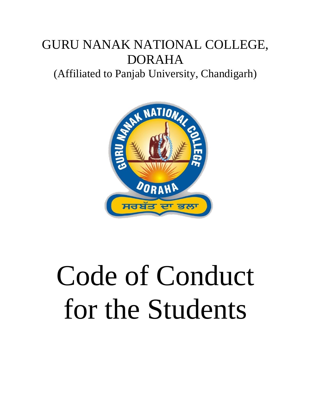# GURU NANAK NATIONAL COLLEGE, DORAHA

(Affiliated to Panjab University, Chandigarh)



# Code of Conduct for the Students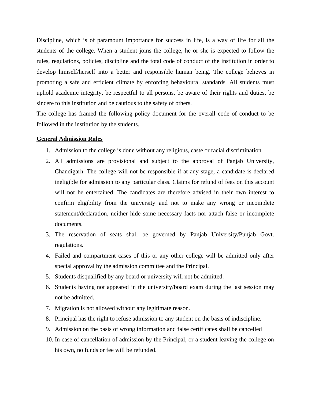Discipline, which is of paramount importance for success in life, is a way of life for all the students of the college. When a student joins the college, he or she is expected to follow the rules, regulations, policies, discipline and the total code of conduct of the institution in order to develop himself/herself into a better and responsible human being. The college believes in promoting a safe and efficient climate by enforcing behavioural standards. All students must uphold academic integrity, be respectful to all persons, be aware of their rights and duties, be sincere to this institution and be cautious to the safety of others.

The college has framed the following policy document for the overall code of conduct to be followed in the institution by the students.

#### **General Admission Rules**

- 1. Admission to the college is done without any religious, caste or racial discrimination.
- 2. All admissions are provisional and subject to the approval of Panjab University, Chandigarh. The college will not be responsible if at any stage, a candidate is declared ineligible for admission to any particular class. Claims for refund of fees on this account will not be entertained. The candidates are therefore advised in their own interest to confirm eligibility from the university and not to make any wrong or incomplete statement/declaration, neither hide some necessary facts nor attach false or incomplete documents.
- 3. The reservation of seats shall be governed by Panjab University/Punjab Govt. regulations.
- 4. Failed and compartment cases of this or any other college will be admitted only after special approval by the admission committee and the Principal.
- 5. Students disqualified by any board or university will not be admitted.
- 6. Students having not appeared in the university/board exam during the last session may not be admitted.
- 7. Migration is not allowed without any legitimate reason.
- 8. Principal has the right to refuse admission to any student on the basis of indiscipline.
- 9. Admission on the basis of wrong information and false certificates shall be cancelled
- 10. In case of cancellation of admission by the Principal, or a student leaving the college on his own, no funds or fee will be refunded.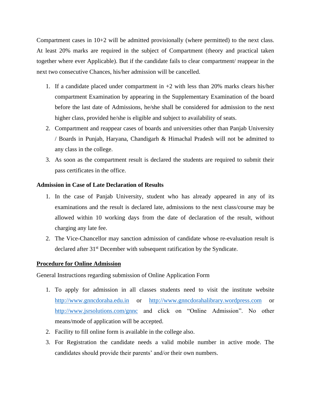Compartment cases in  $10+2$  will be admitted provisionally (where permitted) to the next class. At least 20% marks are required in the subject of Compartment (theory and practical taken together where ever Applicable). But if the candidate fails to clear compartment/ reappear in the next two consecutive Chances, his/her admission will be cancelled.

- 1. If a candidate placed under compartment in  $+2$  with less than 20% marks clears his/her compartment Examination by appearing in the Supplementary Examination of the board before the last date of Admissions, he/she shall be considered for admission to the next higher class, provided he/she is eligible and subject to availability of seats.
- 2. Compartment and reappear cases of boards and universities other than Panjab University / Boards in Punjab, Haryana, Chandigarh & Himachal Pradesh will not be admitted to any class in the college.
- 3. As soon as the compartment result is declared the students are required to submit their pass certificates in the office.

#### **Admission in Case of Late Declaration of Results**

- 1. In the case of Panjab University, student who has already appeared in any of its examinations and the result is declared late, admissions to the next class/course may be allowed within 10 working days from the date of declaration of the result, without charging any late fee.
- 2. The Vice-Chancellor may sanction admission of candidate whose re-evaluation result is declared after 31<sup>st</sup> December with subsequent ratification by the Syndicate.

#### **Procedure for Online Admission**

General Instructions regarding submission of Online Application Form

- 1. To apply for admission in all classes students need to visit the institute website [http://www.gnncdoraha.edu.in](http://www.gnncdoraha.edu.in/) or [http://www.gnncdorahalibrary.wordpress.com](http://www.gnncdorahalibrary.wordpress.com/) or <http://www.jsrsolutions.com/gnnc> and click on "Online Admission". No other means/mode of application will be accepted.
- 2. Facility to fill online form is available in the college also.
- 3. For Registration the candidate needs a valid mobile number in active mode. The candidates should provide their parents' and/or their own numbers.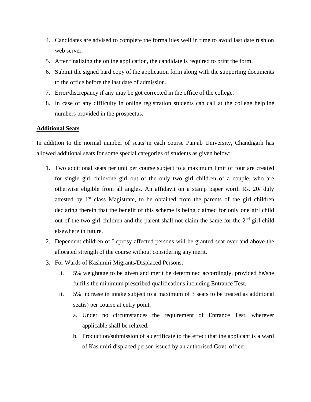- 4. Candidates are advised to complete the formalities well in time to avoid last date rush on web server.
- 5. After finalizing the online application, the candidate is required to print the form.
- 6. Submit the signed hard copy of the application form along with the supporting documents to the office before the last date of admission.
- 7. Error/discrepancy if any may be got corrected in the office of the college.
- 8. In case of any difficulty in online registration students can call at the college helpline numbers provided in the prospectus.

# **Additional Seats**

In addition to the normal number of seats in each course Panjab University, Chandigarh has allowed additional seats for some special categories of students as given below:

- 1. Two additional seats per unit per course subject to a maximum limit of four are created for single girl child/one girl out of the only two girl children of a couple, who are otherwise eligible from all angles. An affidavit on a stamp paper worth Rs. 20/ duly attested by  $1<sup>st</sup>$  class Magistrate, to be obtained from the parents of the girl children declaring therein that the benefit of this scheme is being claimed for only one girl child out of the two girl children and the parent shall not claim the same for the  $2<sup>nd</sup>$  girl child elsewhere in future.
- 2. Dependent children of Leprosy affected persons will be granted seat over and above the allocated strength of the course without considering any merit.
- 3. For Wards of Kashmiri Migrants/Displaced Persons:
	- i. 5% weightage to be given and merit be determined accordingly, provided he/she fulfills the minimum prescribed qualifications including Entrance Test.
	- ii. 5% increase in intake subject to a maximum of 3 seats to be treated as additional seatis) per course at entry point.
		- a. Under no circumstances the requirement of Entrance Test, wherever applicable shall be relaxed.
		- b. Production/submission of a certificate to the effect that the applicant is a ward of Kashmiri displaced person issued by an authorised Govt. officer.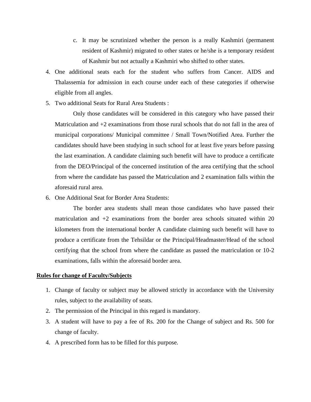- c. It may be scrutinized whether the person is a really Kashmiri (permanent resident of Kashmir) migrated to other states or he/she is a temporary resident of Kashmir but not actually a Kashmiri who shifted to other states.
- 4. One additional seats each for the student who suffers from Cancer. AIDS and Thalassemia for admission in each course under each of these categories if otherwise eligible from all angles.
- 5. Two additional Seats for Rural Area Students :

Only those candidates will be considered in this category who have passed their Matriculation and +2 examinations from those rural schools that do not fall in the area of municipal corporations/ Municipal committee / Small Town/Notified Area. Further the candidates should have been studying in such school for at least five years before passing the last examination. A candidate claiming such benefit will have to produce a certificate from the DEO/Principal of the concerned institution of the area certifying that the school from where the candidate has passed the Matriculation and 2 examination falls within the aforesaid rural area.

6. One Additional Seat for Border Area Students:

The border area students shall mean those candidates who have passed their matriculation and  $+2$  examinations from the border area schools situated within 20 kilometers from the international border A candidate claiming such benefit will have to produce a certificate from the Tehsildar or the Principal/Headmaster/Head of the school certifying that the school from where the candidate as passed the matriculation or 10-2 examinations, falls within the aforesaid border area.

#### **Rules for change of Faculty/Subjects**

- 1. Change of faculty or subject may be allowed strictly in accordance with the University rules, subject to the availability of seats.
- 2. The permission of the Principal in this regard is mandatory.
- 3. A student will have to pay a fee of Rs. 200 for the Change of subject and Rs. 500 for change of faculty.
- 4. A prescribed form has to be filled for this purpose.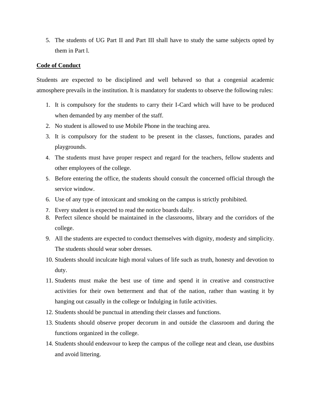5. The students of UG Part II and Part III shall have to study the same subjects opted by them in Part l.

#### **Code of Conduct**

Students are expected to be disciplined and well behaved so that a congenial academic atmosphere prevails in the institution. It is mandatory for students to observe the following rules:

- 1. It is compulsory for the students to carry their I-Card which will have to be produced when demanded by any member of the staff.
- 2. No student is allowed to use Mobile Phone in the teaching area.
- 3. It is compulsory for the student to be present in the classes, functions, parades and playgrounds.
- 4. The students must have proper respect and regard for the teachers, fellow students and other employees of the college.
- 5. Before entering the office, the students should consult the concerned official through the service window.
- 6. Use of any type of intoxicant and smoking on the campus is strictly prohibited.
- 7. Every student is expected to read the notice boards daily.
- 8. Perfect silence should be maintained in the classrooms, library and the corridors of the college.
- 9. All the students are expected to conduct themselves with dignity, modesty and simplicity. The students should wear sober dresses.
- 10. Students should inculcate high moral values of life such as truth, honesty and devotion to duty.
- 11. Students must make the best use of time and spend it in creative and constructive activities for their own betterment and that of the nation, rather than wasting it by hanging out casually in the college or Indulging in futile activities.
- 12. Students should be punctual in attending their classes and functions.
- 13. Students should observe proper decorum in and outside the classroom and during the functions organized in the college.
- 14. Students should endeavour to keep the campus of the college neat and clean, use dustbins and avoid littering.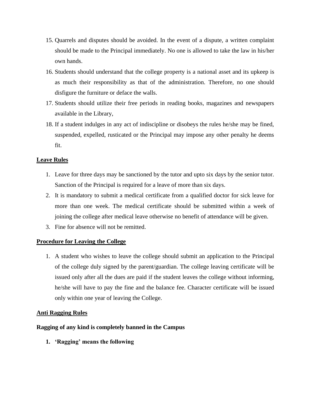- 15. Quarrels and disputes should be avoided. In the event of a dispute, a written complaint should be made to the Principal immediately. No one is allowed to take the law in his/her own hands.
- 16. Students should understand that the college property is a national asset and its upkeep is as much their responsibility as that of the administration. Therefore, no one should disfigure the furniture or deface the walls.
- 17. Students should utilize their free periods in reading books, magazines and newspapers available in the Library,
- 18. If a student indulges in any act of indiscipline or disobeys the rules he/she may be fined, suspended, expelled, rusticated or the Principal may impose any other penalty he deems fit.

### **Leave Rules**

- 1. Leave for three days may be sanctioned by the tutor and upto six days by the senior tutor. Sanction of the Principal is required for a leave of more than six days.
- 2. It is mandatory to submit a medical certificate from a qualified doctor for sick leave for more than one week. The medical certificate should be submitted within a week of joining the college after medical leave otherwise no benefit of attendance will be given.
- 3. Fine for absence will not be remitted.

# **Procedure for Leaving the College**

1. A student who wishes to leave the college should submit an application to the Principal of the college duly signed by the parent/guardian. The college leaving certificate will be issued only after all the dues are paid if the student leaves the college without informing, he/she will have to pay the fine and the balance fee. Character certificate will be issued only within one year of leaving the College.

#### **Anti Ragging Rules**

#### **Ragging of any kind is completely banned in the Campus**

**1. 'Ragging' means the following**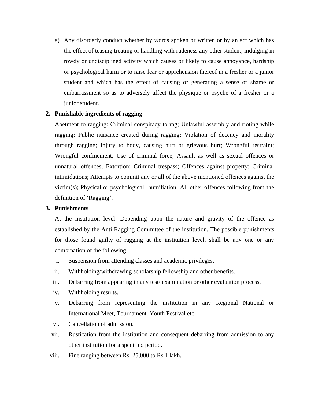a) Any disorderly conduct whether by words spoken or written or by an act which has the effect of teasing treating or handling with rudeness any other student, indulging in rowdy or undisciplined activity which causes or likely to cause annoyance, hardship or psychological harm or to raise fear or apprehension thereof in a fresher or a junior student and which has the effect of causing or generating a sense of shame or embarrassment so as to adversely affect the physique or psyche of a fresher or a junior student.

### **2. Punishable ingredients of ragging**

Abetment to ragging: Criminal conspiracy to rag; Unlawful assembly and rioting while ragging; Public nuisance created during ragging; Violation of decency and morality through ragging; Injury to body, causing hurt or grievous hurt; Wrongful restraint; Wrongful confinement; Use of criminal force; Assault as well as sexual offences or unnatural offences; Extortion; Criminal trespass; Offences against property; Criminal intimidations; Attempts to commit any or all of the above mentioned offences against the victim(s); Physical or psychological humiliation: All other offences following from the definition of 'Ragging'.

#### **3. Punishments**

At the institution level: Depending upon the nature and gravity of the offence as established by the Anti Ragging Committee of the institution. The possible punishments for those found guilty of ragging at the institution level, shall be any one or any combination of the following:

- i. Suspension from attending classes and academic privileges.
- ii. Withholding/withdrawing scholarship fellowship and other benefits.
- iii. Debarring from appearing in any test/ examination or other evaluation process.
- iv. Withholding results.
- v. Debarring from representing the institution in any Regional National or International Meet, Tournament. Youth Festival etc.
- vi. Cancellation of admission.
- vii. Rustication from the institution and consequent debarring from admission to any other institution for a specified period.
- viii. Fine ranging between Rs. 25,000 to Rs.1 lakh.